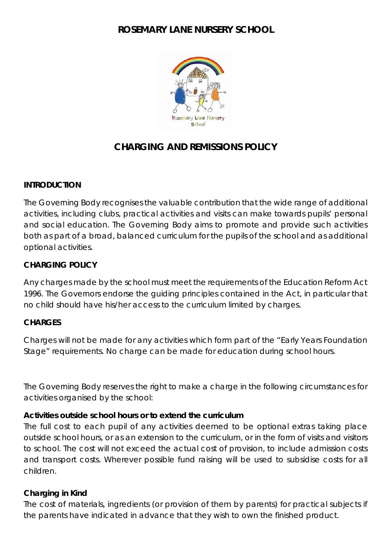## **ROSEMARY LANE NURSERY SCHOOL**



# **CHARGING AND REMISSIONS POLICY**

### **INTRODUCTION**

The Governing Body recognises the valuable contribution that the wide range of additional activities, including clubs, practical activities and visits can make towards pupils' personal and social education. The Governing Body aims to promote and provide such activities both as part of a broad, balanced curriculum for the pupils of the school and as additional optional activities.

## **CHARGING POLICY**

Any charges made by the school must meet the requirements of the Education Reform Act 1996. The Governors endorse the guiding principles contained in the Act, in particular that no child should have his/her access to the curriculum limited by charges.

## **CHARGES**

Charges will not be made for any activities which form part of the "Early Years Foundation Stage" requirements. No charge can be made for education during school hours.

The Governing Body reserves the right to make a charge in the following circumstances for activities organised by the school:

## **Activities outside school hours or to extend the curriculum**

The full cost to each pupil of any activities deemed to be optional extras taking place outside school hours, or as an extension to the curriculum, or in the form of visits and visitors to school. The cost will not exceed the actual cost of provision, to include admission costs and transport costs. Wherever possible fund raising will be used to subsidise costs for all children.

## **Charging in Kind**

The cost of materials, ingredients (or provision of them by parents) for practical subjects if the parents have indicated in advance that they wish to own the finished product.